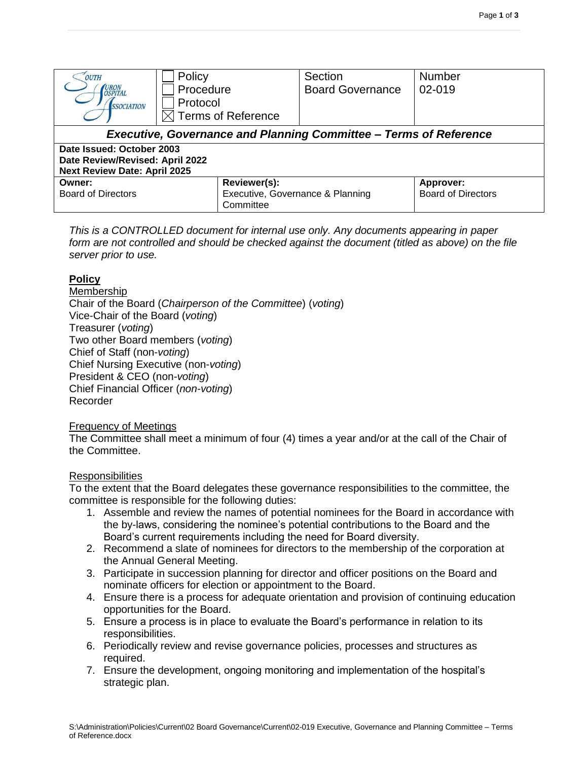| <b>OUTH</b><br><b>URON</b><br><b>OSPITAL</b><br><i><b>SSOCIATION</b></i>                            | Policy<br>Procedure<br>Protocol<br>$\boxtimes$ Terms of Reference | Section<br><b>Board Governance</b> | <b>Number</b><br>02-019                       |  |  |  |  |
|-----------------------------------------------------------------------------------------------------|-------------------------------------------------------------------|------------------------------------|-----------------------------------------------|--|--|--|--|
| <b>Executive, Governance and Planning Committee - Terms of Reference</b>                            |                                                                   |                                    |                                               |  |  |  |  |
| Date Issued: October 2003<br>Date Review/Revised: April 2022<br><b>Next Review Date: April 2025</b> |                                                                   |                                    |                                               |  |  |  |  |
| Owner:<br><b>Board of Directors</b>                                                                 | Reviewer(s):<br>Executive, Governance & Planning<br>Committee     |                                    | <b>Approver:</b><br><b>Board of Directors</b> |  |  |  |  |

*This is a CONTROLLED document for internal use only. Any documents appearing in paper form are not controlled and should be checked against the document (titled as above) on the file server prior to use.*

# **Policy**

**Membership** Chair of the Board (*Chairperson of the Committee*) (*voting*) Vice-Chair of the Board (*voting*) Treasurer (*voting*) Two other Board members (*voting*) Chief of Staff (non-*voting*) Chief Nursing Executive (non-*voting*) President & CEO (non-*voting*) Chief Financial Officer (*non-voting*) Recorder

# Frequency of Meetings

The Committee shall meet a minimum of four (4) times a year and/or at the call of the Chair of the Committee.

# **Responsibilities**

To the extent that the Board delegates these governance responsibilities to the committee, the committee is responsible for the following duties:

- 1. Assemble and review the names of potential nominees for the Board in accordance with the by-laws, considering the nominee's potential contributions to the Board and the Board's current requirements including the need for Board diversity.
- 2. Recommend a slate of nominees for directors to the membership of the corporation at the Annual General Meeting.
- 3. Participate in succession planning for director and officer positions on the Board and nominate officers for election or appointment to the Board.
- 4. Ensure there is a process for adequate orientation and provision of continuing education opportunities for the Board.
- 5. Ensure a process is in place to evaluate the Board's performance in relation to its responsibilities.
- 6. Periodically review and revise governance policies, processes and structures as required.
- 7. Ensure the development, ongoing monitoring and implementation of the hospital's strategic plan.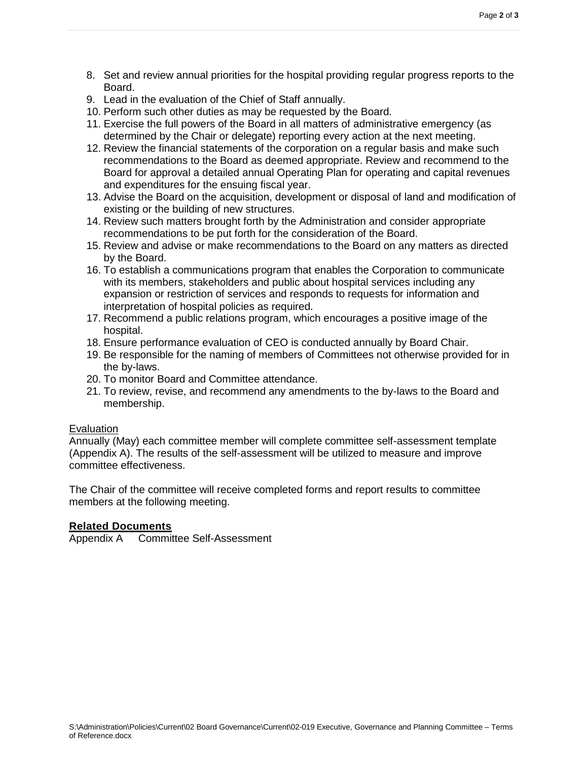- 9. Lead in the evaluation of the Chief of Staff annually.
- 10. Perform such other duties as may be requested by the Board.
- 11. Exercise the full powers of the Board in all matters of administrative emergency (as determined by the Chair or delegate) reporting every action at the next meeting.
- 12. Review the financial statements of the corporation on a regular basis and make such recommendations to the Board as deemed appropriate. Review and recommend to the Board for approval a detailed annual Operating Plan for operating and capital revenues and expenditures for the ensuing fiscal year.
- 13. Advise the Board on the acquisition, development or disposal of land and modification of existing or the building of new structures.
- 14. Review such matters brought forth by the Administration and consider appropriate recommendations to be put forth for the consideration of the Board.
- 15. Review and advise or make recommendations to the Board on any matters as directed by the Board.
- 16. To establish a communications program that enables the Corporation to communicate with its members, stakeholders and public about hospital services including any expansion or restriction of services and responds to requests for information and interpretation of hospital policies as required.
- 17. Recommend a public relations program, which encourages a positive image of the hospital.
- 18. Ensure performance evaluation of CEO is conducted annually by Board Chair.
- 19. Be responsible for the naming of members of Committees not otherwise provided for in the by-laws.
- 20. To monitor Board and Committee attendance.
- 21. To review, revise, and recommend any amendments to the by-laws to the Board and membership.

# **Evaluation**

Annually (May) each committee member will complete committee self-assessment template (Appendix A). The results of the self-assessment will be utilized to measure and improve committee effectiveness.

The Chair of the committee will receive completed forms and report results to committee members at the following meeting.

# **Related Documents**

Appendix A Committee Self-Assessment